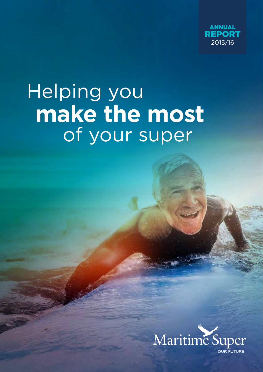

# **make the most** Helping you of your super

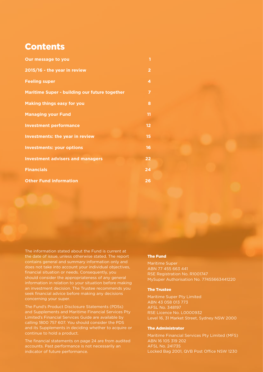# **Contents**

| Our message to you                            | 1              |
|-----------------------------------------------|----------------|
| 2015/16 - the year in review                  | $\overline{2}$ |
| <b>Feeling super</b>                          | 4              |
| Maritime Super - building our future together | 7              |
| <b>Making things easy for you</b>             | 8              |
| <b>Managing your Fund</b>                     | 11             |
| <b>Investment performance</b>                 | 12             |
| <b>Investments: the year in review</b>        | 15             |
| <b>Investments: your options</b>              | 16             |
| <b>Investment advisers and managers</b>       | 22             |
| <b>Financials</b>                             | 24             |
| <b>Other Fund information</b>                 | 26             |

The information stated about the Fund is current at the date of issue, unless otherwise stated. The report contains general and summary information only and does not take into account your individual objectives, financial situation or needs. Consequently, you should consider the appropriateness of any general information in relation to your situation before making an investment decision. The Trustee recommends you seek financial advice before making any decisions concerning your super.

The Fund's Product Disclosure Statements (PDSs) and Supplements and Maritime Financial Services Pty Limited's Financial Services Guide are available by calling 1800 757 607. You should consider the PDS and its Supplements in deciding whether to acquire or continue to hold a product.

The financial statements on page 24 are from audited accounts. Past performance is not necessarily an indicator of future performance.

#### The Fund

Maritime Super ABN 77 455 663 441 RSE Registration No. R1001747 MySuper Authorisation No. 77455663441220

#### The Trustee

Maritime Super Pty Limited ABN 43 058 013 773 AFSL No. 348197 RSE Licence No. L0000932 Level 16, 31 Market Street, Sydney NSW 2000

#### The Administrator

Maritime Financial Services Pty Limited (MFS) ABN 16 105 319 202 AFSL No. 241735 Locked Bag 2001, QVB Post Office NSW 1230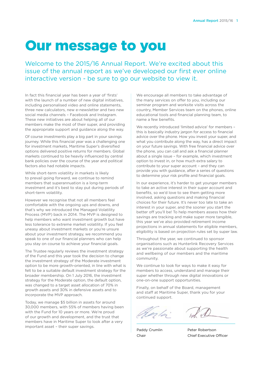# Our message to you

Welcome to the 2015/16 Annual Report. We're excited about this issue of the annual report as we've developed our first ever online interactive version - be sure to go our website to view it.

In fact this financial year has been a year of 'firsts' with the launch of a number of new digital initiatives, including personalised video and online statements, three new calculators, new e-newsletter and two new social media channels – Facebook and Instagram. These new initiatives are about helping all of our members make the most of their super, and providing the appropriate support and guidance along the way.

Of course investments play a big part in your savings journey. While this financial year was a challenging one for investment markets, Maritime Super's diversified options delivered positive returns for members. Global markets continued to be heavily influenced by central bank policies over the course of the year and political factors also had notable impacts.

While short-term volatility in markets is likely to prevail going forward, we continue to remind members that superannuation is a long-term investment and it's best to stay put during periods of short-term volatility.

However we recognise that not all members feel comfortable with the ongoing ups and downs, and that's why we introduced the Managed Volatility Process (MVP) back in 2014. The MVP is designed to help members who want investment growth but have less tolerance to extreme market volatility. If you feel uneasy about investment markets or you're unsure about your investment strategy, we recommend you speak to one of our financial planners who can help you stay on course to achieve your financial goals.

The Trustee regularly reviews the investment strategy of the Fund and this year took the decision to change the investment strategy of the Moderate investment option to be more growth-oriented, in line with what is felt to be a suitable default investment strategy for the broader membership. On 1 July 2016, the investment strategy for the Moderate option, the default option, was changed to a target asset allocation of 70% in growth assets and 30% in defensive assets and to incorporate the MVP approach.

Today, we manage \$5 billion in assets for around 30,000 members, with 55% of members having been with the Fund for 10 years or more. We're proud of our growth and development, and the trust that members have in Maritime Super to look after a very important asset – their super savings.

We encourage all members to take advantage of the many services on offer to you, including our seminar program and worksite visits across the country, Member Services team on the phones, online educational tools and financial planning team, to name a few benefits.

We recently introduced 'limited advice' for members – this is basically industry jargon for access to financial advice over the phone. How you invest your super, and what you contribute along the way, has a direct impact on your future savings. With free financial advice over the phone, you can call and ask a financial planner about a single issue – for example, which investment option to invest in, or how much extra salary to contribute to your super account – and they can provide you with guidance, after a series of questions to determine your risk profile and financial goals.

In our experience, it's harder to get younger members to take an active interest in their super account and benefits, so we'd love to see them getting more involved, asking questions and making financial choices for their future. It's never too late to take an interest in your super, and the sooner you start the better off you'll be! To help members assess how their savings are tracking and make super more tangible, this year we've also provided retirement income projections in annual statements for eligible members, eligibility is based on projection rules set by super law.

Throughout the year, we continued to sponsor organisations such as Hunterlink Recovery Services as we're passionate about supporting the health and wellbeing of our members and the maritime community.

We continue to look for ways to make it easy for members to access, understand and manage their super whether through new digital innovations or one-on-one support opportunities.

Finally, on behalf of the Board, management and staff at Maritime Super, thank you for your continued support.

Paddy Crumlin Peter Robertson Chair Chief Executive Officer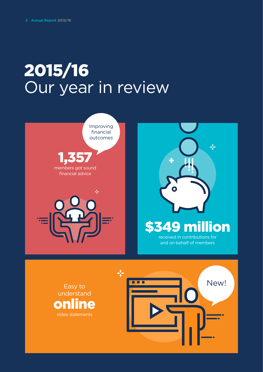# 2015/16 Our year in review



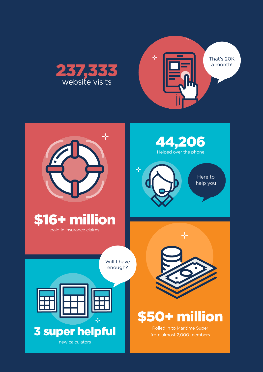



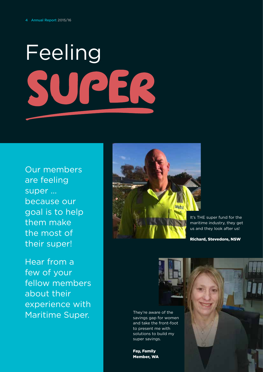# FeelingPER

Our members are feeling super … because our goal is to help them make the most of their super!

Hear from a few of your fellow members about their experience with Maritime Super.



It's THE super fund for the maritime industry, they get us and they look after us!

Richard, Stevedore, NSW



They're aware of the savings gap for women and take the front-foot to present me with solutions to build my super savings.

Fay, Family Member, WA

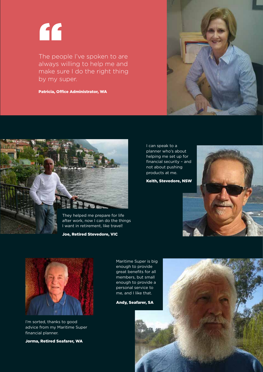"

The people I've spoken to are always willing to help me and make sure I do the right thing by my super.

Patricia, Office Administrator, WA



Joe, Retired Stevedore, VIC

I can speak to a planner who's about helping me set up for financial security – and not about pushing products at me.

Keith, Stevedore, NSW





I'm sorted, thanks to good advice from my Maritime Super financial planner.

Jorma, Retired Seafarer, WA

Maritime Super is big enough to provide great benefits for all members, but small enough to provide a personal service to me, and I like that.

Andy, Seafarer, SA



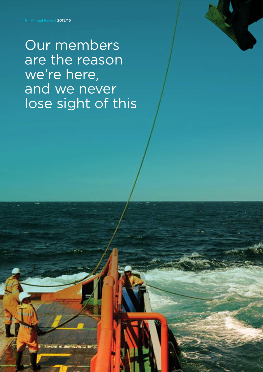Our members are the reason we're here, and we never lose sight of this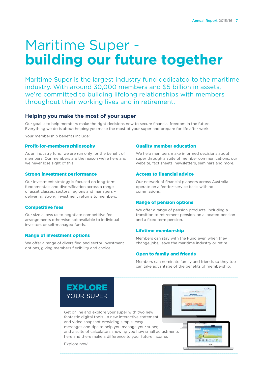# Maritime Super **building our future together**

Maritime Super is the largest industry fund dedicated to the maritime industry. With around 30,000 members and \$5 billion in assets, we're committed to building lifelong relationships with members throughout their working lives and in retirement.

# **Helping you make the most of your super**

Our goal is to help members make the right decisions now to secure financial freedom in the future. Everything we do is about helping you make the most of your super and prepare for life after work.

Your membership benefits include:

#### Profit-for-members philosophy

As an industry fund, we are run only for the benefit of members. Our members are the reason we're here and we never lose sight of this.

#### Strong investment performance

Our investment strategy is focused on long-term fundamentals and diversification across a range of asset classes, sectors, regions and managers – delivering strong investment returns to members.

#### Competitive fees

Our size allows us to negotiate competitive fee arrangements otherwise not available to individual investors or self-managed funds.

#### Range of investment options

We offer a range of diversified and sector investment options, giving members flexibility and choice.

#### Quality member education

We help members make informed decisions about super through a suite of member communications, our website, fact sheets, newsletters, seminars and more.

#### Access to financial advice

Our network of financial planners across Australia operate on a fee-for-service basis with no commissions.

#### Range of pension options

We offer a range of pension products, including a transition to retirement pension, an allocated pension and a fixed term pension.

#### Lifetime membership

Members can stay with the Fund even when they change jobs, leave the maritime industry or retire.

#### Open to family and friends

Members can nominate family and friends so they too can take advantage of the benefits of membership.

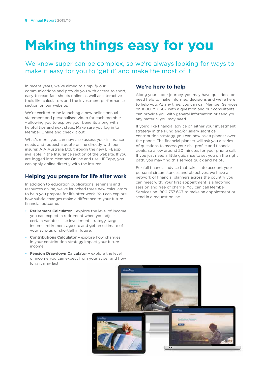# **Making things easy for you**

We know super can be complex, so we're always looking for ways to make it easy for you to 'get it' and make the most of it.

In recent years, we've aimed to simplify our communications and provide you with access to short, easy-to-read fact sheets online as well as interactive tools like calculators and the investment performance section on our website.

We're excited to be launching a new online annual statement and personalised video for each member – allowing you to explore your benefits along with helpful tips and next steps. Make sure you log in to Member Online and check it out.

What's more, you can now also assess your insurance needs and request a quote online directly with our insurer, AIA Australia Ltd, through the new LIFEapp available in the Insurance section of the website. If you are logged into Member Online and use LIFEapp, you can apply online directly with the insurer.

# **Helping you prepare for life after work**

In addition to education publications, seminars and resources online, we've launched three new calculators to help you prepare for life after work. You can explore how subtle changes make a difference to your future financial outcome.

- **• Retirement Calculator**  explore the level of income you can expect in retirement when you adjust certain variables like investment strategy, target income, retirement age etc and get an estimate of your surplus or shortfall in future.
- **• Contributions Calculator**  explore how changes in your contribution strategy impact your future income.
- **Pension Drawdown Calculator** explore the level of income you can expect from your super and how long it may last.

# **We're here to help**

Along your super journey, you may have questions or need help to make informed decisions and we're here to help you. At any time, you can call Member Services on 1800 757 607 with a question and our consultants can provide you with general information or send you any material you may need.

If you'd like financial advice on either your investment strategy in the Fund and/or salary sacrifice contribution strategy, you can now ask a planner over the phone. The financial planner will ask you a series of questions to assess your risk profile and financial goals, so allow around 20 minutes for your phone call. If you just need a little guidance to set you on the right path, you may find this service quick and helpful.

For full financial advice that takes into account your personal circumstances and objectives, we have a network of financial planners across the country you can meet with. Your first appointment is a fact-find session and free of charge. You can call Member Services on 1800 757 607 to make an appointment or send in a request online.

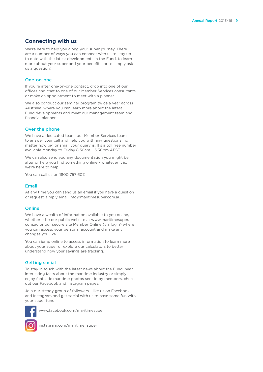# **Connecting with us**

We're here to help you along your super journey. There are a number of ways you can connect with us to stay up to date with the latest developments in the Fund, to learn more about your super and your benefits, or to simply ask us a question!

#### One-on-one

If you're after one-on-one contact, drop into one of our offices and chat to one of our Member Services consultants or make an appointment to meet with a planner.

We also conduct our seminar program twice a year across Australia, where you can learn more about the latest Fund developments and meet our management team and financial planners.

#### Over the phone

We have a dedicated team, our Member Services team, to answer your call and help you with any questions, no matter how big or small your query is. It's a toll free number available Monday to Friday 8.30am – 5.30pm AEST.

We can also send you any documentation you might be after or help you find something online - whatever it is, we're here to help.

You can call us on 1800 757 607.

#### Email

At any time you can send us an email if you have a question or request, simply email info@maritimesuper.com.au.

#### **Online**

We have a wealth of information available to you online, whether it be our public website at www.maritimesuper. com.au or our secure site Member Online (via login) where you can access your personal account and make any changes you like.

You can jump online to access information to learn more about your super or explore our calculators to better understand how your savings are tracking.

#### Getting social

To stay in touch with the latest news about the Fund, hear interesting facts about the maritime industry or simply enjoy fantastic maritime photos sent in by members, check out our Facebook and Instagram pages.

Join our steady group of followers - like us on Facebook and Instagram and get social with us to have some fun with your super fund!



www.facebook.com/maritimesuper

instagram.com/maritime\_super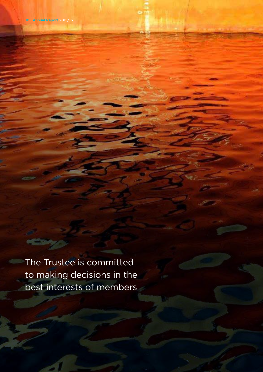The Trustee is committed to making decisions in the best interests of members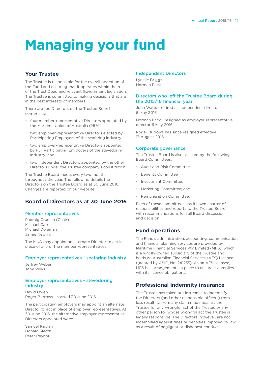# **Managing your fund**

# **Your Trustee**

The Trustee is responsible for the overall operation of the Fund and ensuring that it operates within the rules of the Trust Deed and relevant Government legislation. The Trustee is committed to making decisions that are in the best interests of members.

There are ten Directors on the Trustee Board comprising:

- four member-representative Directors appointed by the Maritime Union of Australia (MUA)
- two employer-representative Directors elected by Participating Employers of the seafaring industry
- two employer-representative Directors appointed by Full Participating Employers of the stevedoring industry; and
- two independent Directors appointed by the other Directors under the Trustee company's constitution.

The Trustee Board meets every two months throughout the year. The following details the Directors on the Trustee Board as at 30 June 2016. Changes are reported on our website.

# **Board of Directors as at 30 June 2016**

#### Member representatives

Padraig Crumlin (Chair) Michael Carr Michael Doleman Jamie Newlyn

The MUA may appoint an alternate Director to act in place of any of the member representatives.

#### Employer representatives - seafaring industry

Jeffrey Weber Tony Wilks

#### Employer representatives - stevedoring industry

David Owen Roger Burrows - started 30 June 2016

The participating employers may appoint an alternate Director to act in place of employer representatives. At 30 June 2016, the alternative employer-representative Directors appointed were:

Samuel Kaplan Donald Sleath Peter Raynor

#### Independent Directors

Lynelle Briggs Norman Pack

#### Directors who left the Trustee Board during the 2015/16 financial year

John Watts - retired as independent director 6 May 2016

Norman Pack - resigned as employer-representative director 6 May 2016

Roger Burrows has since resigned effective 17 August 2016

#### Corporate governance

The Trustee Board is also assisted by the following Board Committees:

- Audit and Risk Committee
- Benefits Committee
- Investment Committee
- Marketing Committee; and
- Remuneration Committee.

Each of these committees has its own charter of responsibilities and reports to the Trustee Board with recommendations for full Board discussion and decision.

#### **Fund operations**

The Fund's administration, accounting, communication and financial planning services are provided by Maritime Financial Services Pty Limited (MFS), which is a wholly-owned subsidiary of the Trustee and holds an Australian Financial Services (AFS) Licence (granted by ASIC, No. 241735). As an AFS licensee, MFS has arrangements in place to ensure it complies with its licence obligations.

# **Professional indemnity insurance**

The Trustee has taken out insurance to indemnify the Directors (and other responsible officers) from loss resulting from any claim made against the Trustee for any wrongful act of the Trustee or any other person for whose wrongful act the Trustee is legally responsible. The Directors, however, are not indemnified against fines or penalties imposed by law as a result of negligent or dishonest conduct.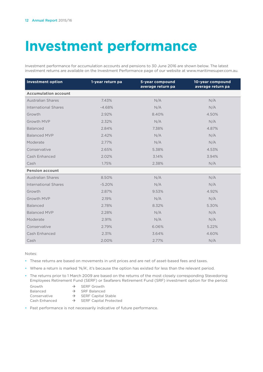# **Investment performance**

Investment performance for accumulation accounts and pensions to 30 June 2016 are shown below. The latest investment returns are available on the Investment Performance page of our website at www.maritimesuper.com.au.

| <b>Investment option</b>    | 1-year return pa | 5-year compound<br>average return pa | 10-year compound<br>average return pa |
|-----------------------------|------------------|--------------------------------------|---------------------------------------|
| <b>Accumulation account</b> |                  |                                      |                                       |
| <b>Australian Shares</b>    | 7.43%            | N/A                                  | N/A                                   |
| <b>International Shares</b> | $-4.68%$         | N/A                                  | N/A                                   |
| Growth                      | 2.92%            | 8.40%                                | 4.50%                                 |
| Growth MVP                  | 2.32%            | N/A                                  | N/A                                   |
| <b>Balanced</b>             | 2.84%            | 7.38%                                | 4.87%                                 |
| <b>Balanced MVP</b>         | 2.42%            | N/A                                  | N/A                                   |
| Moderate                    | 2.77%            | N/A                                  | N/A                                   |
| Conservative                | 2.65%            | 5.38%                                | 4.53%                                 |
| Cash Enhanced               | 2.02%            | 3.14%                                | 3.94%                                 |
| Cash                        | 1.75%            | 2.38%                                | N/A                                   |
| <b>Pension account</b>      |                  |                                      |                                       |
| <b>Australian Shares</b>    | 8.50%            | N/A                                  | N/A                                   |
| International Shares        | $-5.20%$         | N/A                                  | N/A                                   |
| Growth                      | 2.87%            | 9.53%                                | 4.92%                                 |
| Growth MVP                  | 2.19%            | N/A                                  | N/A                                   |
| <b>Balanced</b>             | 2.78%            | 8.32%                                | 5.30%                                 |
| <b>Balanced MVP</b>         | 2.28%            | N/A                                  | N/A                                   |
| Moderate                    | 2.91%            | N/A                                  | N/A                                   |
| Conservative                | 2.79%            | 6.06%                                | 5.22%                                 |
| Cash Enhanced               | 2.31%            | 3.64%                                | 4.60%                                 |
| Cash                        | 2.00%            | 2.77%                                | N/A                                   |

Notes:

- These returns are based on movements in unit prices and are net of asset-based fees and taxes.
- Where a return is marked 'N/A', it's because the option has existed for less than the relevant period.
- The returns prior to 1 March 2009 are based on the returns of the most closely corresponding Stevedoring Employees Retirement Fund (SERF) or Seafarers Retirement Fund (SRF) investment option for the period:
	- Growth  $\rightarrow$  SERF Growth
	- Balanced  $\rightarrow$  SRF Balanced<br>
	Conservative  $\rightarrow$  SERF Capital
	-
- 
- Conservative  $\rightarrow$  SERF Capital Stable<br>Cash Enhanced  $\rightarrow$  SERF Capital Protect  $\rightarrow$  SERF Capital Protected
- Past performance is not necessarily indicative of future performance.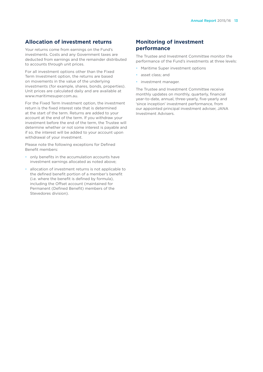# **Allocation of investment returns**

Your returns come from earnings on the Fund's investments. Costs and any Government taxes are deducted from earnings and the remainder distributed to accounts through unit prices.

For all investment options other than the Fixed Term Investment option, the returns are based on movements in the value of the underlying investments (for example, shares, bonds, properties). Unit prices are calculated daily and are available at www.maritimesuper.com.au.

For the Fixed Term Investment option, the investment return is the fixed interest rate that is determined at the start of the term. Returns are added to your account at the end of the term. If you withdraw your investment before the end of the term, the Trustee will determine whether or not some interest is payable and if so, the interest will be added to your account upon withdrawal of your investment.

Please note the following exceptions for Defined Benefit members:

- only benefits in the accumulation accounts have investment earnings allocated as noted above;
- allocation of investment returns is not applicable to the defined benefit portion of a member's benefit (i.e. where the benefit is defined by formula), including the Offset account (maintained for Permanent (Defined Benefit) members of the Stevedores division).

# **Monitoring of investment performance**

The Trustee and Investment Committee monitor the performance of the Fund's investments at three levels:

- Maritime Super investment options
- asset class; and
- investment manager.

The Trustee and Investment Committee receive monthly updates on monthly, quarterly, financial year-to-date, annual, three-yearly, five-yearly and 'since inception' investment performance, from our appointed principal investment adviser, JANA Investment Advisers.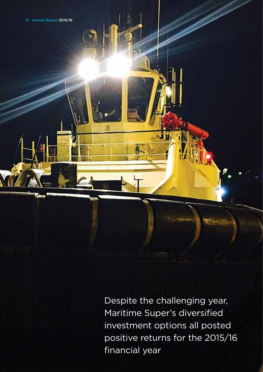Despite the challenging year, Maritime Super's diversified investment options all posted positive returns for the 2015/16 financial year

MÌ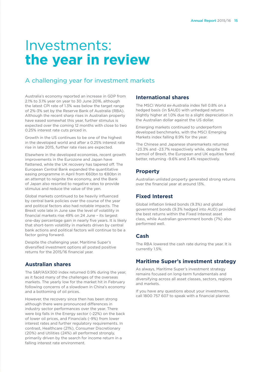# Investments: **the year in review**

# A challenging year for investment markets

Australia's economy reported an increase in GDP from 2.1% to 3.1% year on year to 30 June 2016, although the latest CPI rate of 1.3% was below the target range of 2%-3% set by the Reserve Bank of Australia (RBA). Although the recent sharp rises in Australian property have eased somewhat this year, further stimulus is expected over the coming 12 months with close to two 0.25% interest rate cuts priced in.

Growth in the US continues to be one of the highest in the developed world and after a 0.25% interest rate rise in late 2015, further rate rises are expected.

Elsewhere in the developed economies, recent growth improvements in the Eurozone and Japan have flattened, while the UK recovery has tapered off. The European Central Bank expanded the quantitative easing programme in April from €60bn to €80bn in an attempt to reignite the economy, and the Bank of Japan also resorted to negative rates to provide stimulus and reduce the value of the yen.

Global markets continued to be heavily influenced by central bank policies over the course of the year and political factors also had notable impacts. The Brexit vote late in June saw the level of volatility in financial markets rise 49% on 24 June – its largest one-day percentage gain in nearly five years. It is likely that short-term volatility in markets driven by central bank actions and political factors will continue to be a factor going forward.

Despite the challenging year, Maritime Super's diversified investment options all posted positive returns for the 2015/16 financial year.

# **Australian shares**

The S&P/ASX300 index returned 0.9% during the year, as it faced many of the challenges of the overseas markets. The yearly low for the market hit in February following concerns of a slowdown in China's economy and a bottoming of oil prices.

However, the recovery since then has been strong although there were pronounced differences in industry sector performances over the year. There were big falls in the Energy sector (-22%) on the back of lower oil prices, and Financials (-9%) from lower interest rates and further regulatory requirements. In contrast, Healthcare (21%), Consumer Discretionary (20%) and Utilities (24%) all performed strongly, primarily driven by the search for income return in a falling interest rate environment.

### **International shares**

The MSCI World ex-Australia index fell 0.8% on a hedged basis (in \$AUD) with unhedged returns slightly higher at 1.0% due to a slight depreciation in the Australian dollar against the US dollar.

Emerging markets continued to underperform developed benchmarks, with the MSCI Emerging Markets index falling 8.9% for the year.

The Chinese and Japanese sharemarkets returned -23.3% and -23.7% respectively while, despite the turmoil of Brexit, the European and UK equities fared better, returning -9.6% and 3.4% respectively.

# **Property**

Australian unlisted property generated strong returns over the financial year at around 13%.

# **Fixed Interest**

Global inflation linked bonds (9.3%) and global government bonds (9.3% hedged into AUD) provided the best returns within the Fixed Interest asset class, while Australian government bonds (7%) also performed well.

# **Cash**

The RBA lowered the cash rate during the year. It is currently 1.5%.

# **Maritime Super's investment strategy**

As always, Maritime Super's investment strategy remains focused on long-term fundamentals and diversifying across all asset classes, sectors, regions and markets.

If you have any questions about your investments, call 1800 757 607 to speak with a financial planner.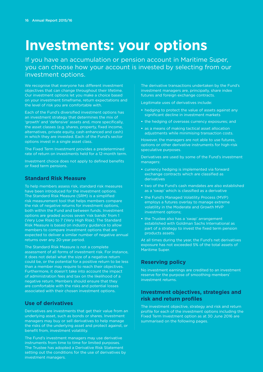# **Investments: your options**

If you have an accumulation or pension account in Maritime Super, you can choose how your account is invested by selecting from our investment options.

We recognise that everyone has different investment objectives that can change throughout their lifetime. Our investment options let you make a choice based on your investment timeframe, return expectations and the level of risk you are comfortable with.

Each of the Fund's diversified investment options has an investment strategy that determines the mix of 'growth' and 'defensive' assets and, more specifically, the asset classes (e.g. shares, property, fixed income, alternatives, private equity, cash enhanced and cash) in which they are invested. Each of the Fund's sector options invest in a single asset class.

The Fixed Term Investment provides a predetermined rate of return on investments held for a 12-month term.

Investment choice does not apply to defined benefits or fixed term pensions.

# **Standard Risk Measure**

To help members assess risk, standard risk measures have been introduced for the investment options. The Standard Risk Measure (SRM) is a simplified risk measurement tool that helps members compare the risk of negative returns for investment options, both within the Fund and between funds. Investment options are graded across seven 'risk bands' from 1 (Very Low Risk) to 7 (Very High Risk). The Standard Risk Measure is based on industry guidance to allow members to compare investment options that are expected to deliver a similar number of negative annual returns over any 20-year period.

The Standard Risk Measure is not a complete assessment of all forms of investment risk. For instance, it does not detail what the size of a negative return could be, or the potential for a positive return to be less than a member may require to reach their objectives. Furthermore, it doesn't take into account the impact of administration fees and tax on the likelihood of a negative return. Members should ensure that they are comfortable with the risks and potential losses associated with their chosen investment options.

# **Use of derivatives**

Derivatives are investments that get their value from an underlying asset, such as bonds or shares. Investment managers may buy or sell derivatives to help manage the risks of the underlying asset and protect against, or benefit from, investment volatility.

The Fund's investment managers may use derivative instruments from time to time for limited purposes. The Trustee has adopted a Derivative Risk Statement setting out the conditions for the use of derivatives by investment managers.

The derivative transactions undertaken by the Fund's investment managers are, principally, share index futures and foreign exchange contracts.

Legitimate uses of derivatives include:

- **•** hedging to protect the value of assets against any significant decline in investment markets
- **•** the hedging of overseas currency exposures; and
- **•** as a means of making tactical asset allocation adjustments while minimising transaction costs.

However, the managers are not able to use futures, options or other derivative instruments for high-risk speculative purposes.

Derivatives are used by some of the Fund's investment managers:

- **•** currency hedging is implemented via forward exchange contracts which are classified as derivatives
- **•** two of the Fund's cash mandates are also established as a 'swap' which is classified as a derivative
- **•** the Fund's Managed Volatility Process (MVP) employs a futures overlay to manage extreme volatility in the Moderate and Growth MVP investment options;
- **•** the Trustee also has a 'swap' arrangement established with Goldman Sachs International as part of a strategy to invest the fixed term pension products assets.

At all times during the year, the Fund's net derivatives exposure has not exceeded 5% of the total assets of Maritime Super.

# **Reserving policy**

No investment earnings are credited to an investment reserve for the purpose of smoothing members' investment returns.

# **Investment objectives, strategies and risk and return profiles**

The investment objective, strategy and risk and return profile for each of the investment options including the Fixed Term Investment option as at 30 June 2016 are summarised on the following pages.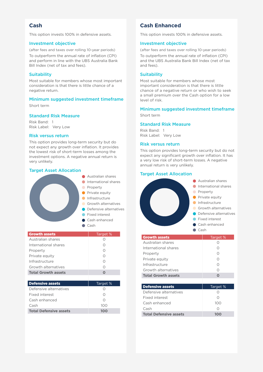### **Cash**

This option invests 100% in defensive assets.

#### Investment objective

(after fees and taxes over rolling 10-year periods)

To outperform the annual rate of inflation (CPI) and perform in line with the UBS Australia Bank Bill Index (net of tax and fees).

#### **Suitability**

Most suitable for members whose most important consideration is that there is little chance of a negative return.

### Minimum suggested investment timeframe

Short term

#### Standard Risk Measure

Risk Band: 1 Risk Label: Very Low

#### Risk versus return

This option provides long-term security but do not expect any growth over inflation. It provides the lowest risk of short-term losses among the investment options. A negative annual return is very unlikely.

#### Target Asset Allocation



| <b>Growth assets</b>       | Target % |
|----------------------------|----------|
| Australian shares          |          |
| International shares       |          |
| Property                   |          |
| Private equity             | ∩        |
| Infrastructure             |          |
| Growth alternatives        | ∩        |
| <b>Total Growth assets</b> | O        |
|                            |          |
| <b>Defensive assets</b>    |          |
|                            | Target % |
| Defensive alternatives     |          |
| Fixed interest             |          |
| Cash enhanced              |          |
| Cash                       | 100      |

# **Cash Enhanced**

This option invests 100% in defensive assets.

#### Investment objective

(after fees and taxes over rolling 10-year periods)

To outperform the annual rate of inflation (CPI) and the UBS Australia Bank Bill Index (net of tax and fees).

#### **Suitability**

Most suitable for members whose most important consideration is that there is little chance of a negative return or who wish to seek a small premium over the Cash option for a low level of risk.

# Minimum suggested investment timeframe

Short term

#### Standard Risk Measure

Risk Band: 1 Risk Label: Very Low

#### Risk versus return

This option provides long-term security but do not expect any significant growth over inflation. It has a very low risk of short-term losses. A negative annual return is very unlikely.

# **Australian shares Target Asset Allocation**

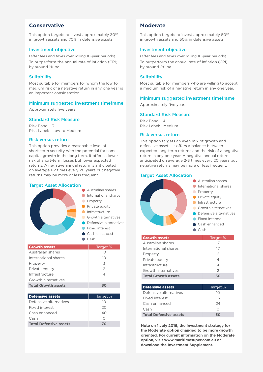# **Conservative**

This option targets to invest approximately 30% in growth assets and 70% in defensive assets.

#### Investment objective

(after fees and taxes over rolling 10-year periods) To outperform the annual rate of inflation (CPI) by around 1% pa.

#### **Suitability**

Most suitable for members for whom the low to medium risk of a negative return in any one year is an important consideration.

#### Minimum suggested investment timeframe

Approximately five years

#### Standard Risk Measure

Risk Band: 3 Risk Label: Low to Medium

#### Risk versus return

This option provides a reasonable level of short-term security with the potential for some capital growth in the long term. It offers a lower risk of short-term losses but lower expected returns. A negative annual return is anticipated on average 1-2 times every 20 years but negative returns may be more or less frequent.

#### Target Asset Allocation



| <b>Growth assets</b>       | Target %      |
|----------------------------|---------------|
| Australian shares          | 10            |
| International shares       | 10            |
| Property                   | 3             |
| Private equity             | $\mathcal{P}$ |
| Infrastructure             | 4             |
| Growth alternatives        | 1             |
| <b>Total Growth assets</b> | 30            |

| <b>Defensive assets</b>       | Target % |
|-------------------------------|----------|
| Defensive alternatives        | 10       |
| Fixed interest                | 20       |
| Cash enhanced                 | 40       |
| Cash                          |          |
| <b>Total Defensive assets</b> |          |

# **Moderate**

This option targets to invest approximately 50% in growth assets and 50% in defensive assets.

#### Investment objective

(after fees and taxes over rolling 10-year periods) To outperform the annual rate of inflation (CPI) by around 2% pa.

#### **Suitability**

Most suitable for members who are willing to accept a medium risk of a negative return in any one year.

#### Minimum suggested investment timeframe

Approximately five years

#### Standard Risk Measure

Risk Band: 4 Risk Label: Medium

#### Risk versus return

This option targets an even mix of growth and defensive assets. It offers a balance between expected long-term returns and the risk of a negative return in any one year. A negative annual return is anticipated on average 2-3 times every 20 years but negative returns may be more or less frequent.

#### Target Asset Allocation



**Note on 1 July 2016, the investment strategy for the Moderate option changed to be more growth oriented. For current information on the Moderate option, visit www.maritimesuper.com.au or download the Investment Supplement.**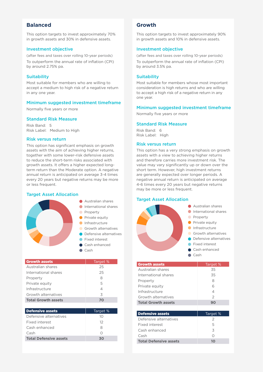# **Balanced**

This option targets to invest approximately 70% in growth assets and 30% in defensive assets.

#### Investment objective

(after fees and taxes over rolling 10-year periods) To outperform the annual rate of inflation (CPI) by around 2.75% pa.

#### **Suitability**

Most suitable for members who are willing to accept a medium to high risk of a negative return in any one year.

#### Minimum suggested investment timeframe

Normally five years or more

#### Standard Risk Measure

Risk Band: 5 Risk Label: Medium to High

#### Risk versus return

This option has significant emphasis on growth assets with the aim of achieving higher returns, together with some lower-risk defensive assets to reduce the short-term risks associated with growth assets. It offers a higher expected longterm return than the Moderate option. A negative annual return is anticipated on average 3-4 times every 20 years but negative returns may be more or less frequent.

#### Target Asset Allocation



| <b>Growth assets</b>          | Target % |
|-------------------------------|----------|
| Australian shares             | 25       |
| International shares          | 25       |
| Property                      | 8        |
| Private equity                | 5        |
| Infrastructure                | 4        |
| Growth alternatives           | 3        |
| <b>Total Growth assets</b>    | 70       |
|                               |          |
| <b>Defensive assets</b>       | Target % |
| Defensive alternatives        | 10       |
| Fixed interest                | $12^{1}$ |
| Cash enhanced                 | 8        |
| Cash                          | ∩        |
| <b>Total Defensive assets</b> | 30       |

### **Growth**

This option targets to invest approximately 90% in growth assets and 10% in defensive assets.

#### Investment objective

(after fees and taxes over rolling 10-year periods) To outperform the annual rate of inflation (CPI) by around 3.5% pa.

#### **Suitability**

Most suitable for members whose most important consideration is high returns and who are willing to accept a high risk of a negative return in any one year.

#### Minimum suggested investment timeframe

Normally five years or more

#### Standard Risk Measure

Risk Band: 6 Risk Label: High

#### Risk versus return

This option has a very strong emphasis on growth assets with a view to achieving higher returns and therefore carries more investment risk. The value may vary significantly up or down over the short term. However, high investment returns are generally expected over longer periods. A negative annual return is anticipated on average 4-6 times every 20 years but negative returns may be more or less frequent.

#### **Australian shares Target Asset Allocation**



| <b>Growth assets</b>          | Target %      |
|-------------------------------|---------------|
| Australian shares             | 35            |
| International shares          | 35            |
| Property                      | 8             |
| Private equity                | 6             |
| Infrastructure                | 4             |
| Growth alternatives           | $\mathcal{P}$ |
| <b>Total Growth assets</b>    | 90            |
|                               |               |
| <b>Defensive assets</b>       | Target %      |
| Defensive alternatives        | 2             |
| Fixed interest                | 5             |
| Cash enhanced                 | 3             |
| Cash                          | ∩             |
| <b>Total Defensive assets</b> | 10            |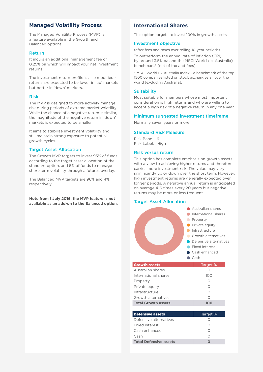# **Managed Volatility Process**

The Managed Volatility Process (MVP) is a feature available in the Growth and Balanced options.

#### Return

It incurs an additional management fee of 0.25% pa which will impact your net investment returns.

The investment return profile is also modified returns are expected to be lower in 'up' markets but better in 'down' markets.

#### Risk

The MVP is designed to more actively manage risk during periods of extreme market volatility. While the chance of a negative return is similar, the magnitude of the negative return in 'down' markets is expected to be smaller.

It aims to stabilise investment volatility and still maintain strong exposure to potential growth cycles.

#### Target Asset Allocation

The Growth MVP targets to invest 95% of funds according to the target asset allocation of the standard option, and 5% of funds to manage short-term volatility through a futures overlay.

The Balanced MVP targets are 96% and 4%, respectively.

**Note from 1 July 2016, the MVP feature is not available as an add-on to the Balanced option.**

# **International Shares**

This option targets to invest 100% in growth assets.

#### Investment objective

(after fees and taxes over rolling 10-year periods)

To outperform the annual rate of inflation (CPI) by around 3.5% pa and the MSCI World (ex Australia) benchmark\* (net of tax and fees).

\* MSCI World Ex Australia Index - a benchmark of the top 1500 companies listed on stock exchanges all over the world (excluding Australia).

#### **Suitability**

Most suitable for members whose most important consideration is high returns and who are willing to accept a high risk of a negative return in any one year.

#### Minimum suggested investment timeframe

Normally seven years or more

#### Standard Risk Measure

Risk Band: 6 Risk Label: High

#### Risk versus return

This option has complete emphasis on growth assets with a view to achieving higher returns and therefore carries more investment risk. The value may vary significantly up or down over the short term. However, high investment returns are generally expected over longer periods. A negative annual return is anticipated on average 4-6 times every 20 years but negative returns may be more or less frequent.

#### Target Asset Allocation

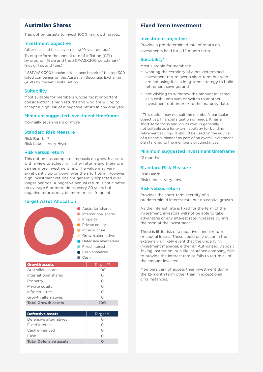# **Australian Shares**

This option targets to invest 100% in growth assets.

#### Investment objective

(after fees and taxes over rolling 10-year periods) To outperform the annual rate of inflation (CPI) by around 4% pa and the S&P/ASX300 benchmark^ (net of tax and fees).

^ S&P/ASX 300 benchmark - a benchmark of the top 300 listed companies on the Australian Securities Exchange (ASX) by market capitalisation.

#### **Suitability**

Most suitable for members whose most important consideration is high returns and who are willing to accept a high risk of a negative return in any one year.

#### Minimum suggested investment timeframe

Normally seven years or more

#### Standard Risk Measure

Risk Band: 7 Risk Label: Very High

#### Risk versus return

This option has complete emphasis on growth assets with a view to achieving higher returns and therefore carries more investment risk. The value may vary significantly up or down over the short term. However, high investment returns are generally expected over longer periods. A negative annual return is anticipated on average 6 or more times every 20 years but negative returns may be more or less frequent.

#### Target Asset Allocation



| 100      |
|----------|
|          |
| Target % |
|          |
|          |
|          |
|          |
|          |
|          |

# **Fixed Term Investment**

#### Investment objective

Provide a pre-determined rate of return on investments held for a 12-month term.

#### Suitability\*

Most suitable for members:

- wanting the certainty of a pre-determined investment return over a short term but who are not using it as a long-term strategy to build retirement savings; and
- not wishing to withdraw the amount invested as a cash lump sum or switch to another investment option prior to the maturity date.

\* This option may not suit the member's particular objectives, financial situation or needs. It has a short-term focus and, on its own, is generally not suitable as a long-term strategy for building retirement savings. It should be used on the advice of a financial planner as part of an overall investment plan tailored to the member's circumstances.

# Minimum suggested investment timeframe

12 months

#### Standard Risk Measure

Risk Band: 1 Risk Label: Very Low

#### Risk versus return

Provides the short-term security of a predetermined interest rate but no capital growth.

As the interest rate is fixed for the term of the investment, investors will not be able to take advantage of any interest rate increases during the term of the investment.

There is little risk of a negative annual return or capital losses. These could only occur in the extremely unlikely event that the underlying investment manager, either an Authorised Deposit Taking Institution, or a life insurance company, fails to provide the interest rate or fails to return all of the amount invested.

Members cannot access their investment during the 12-month term other than in exceptional circumstances.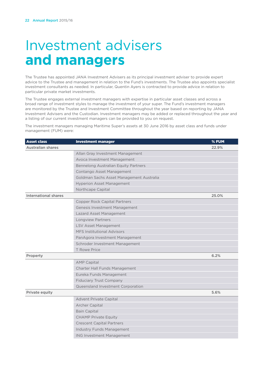# Investment advisers **and managers**

The Trustee has appointed JANA Investment Advisers as its principal investment adviser to provide expert advice to the Trustee and management in relation to the Fund's investments. The Trustee also appoints specialist investment consultants as needed. In particular, Quentin Ayers is contracted to provide advice in relation to particular private market investments.

The Trustee engages external investment managers with expertise in particular asset classes and across a broad range of investment styles to manage the investment of your super. The Fund's investment managers are monitored by the Trustee and Investment Committee throughout the year based on reporting by JANA Investment Advisers and the Custodian. Investment managers may be added or replaced throughout the year and a listing of our current investment managers can be provided to you on request.

The investment managers managing Maritime Super's assets at 30 June 2016 by asset class and funds under management (FUM) were:

| <b>Asset class</b>          | <b>Investment manager</b>                | % FUM |
|-----------------------------|------------------------------------------|-------|
| <b>Australian shares</b>    |                                          | 22.9% |
|                             | Allan Gray Investment Management         |       |
|                             | Avoca Investment Management              |       |
|                             | Bennelong Australian Equity Partners     |       |
|                             | Contango Asset Management                |       |
|                             | Goldman Sachs Asset Management Australia |       |
|                             | <b>Hyperion Asset Management</b>         |       |
|                             | Northcape Capital                        |       |
| <b>International shares</b> |                                          | 25.0% |
|                             | <b>Copper Rock Capital Partners</b>      |       |
|                             | Genesis Investment Management            |       |
|                             | Lazard Asset Management                  |       |
|                             | <b>Longview Partners</b>                 |       |
|                             | <b>LSV Asset Management</b>              |       |
|                             | <b>MFS Institutional Advisors</b>        |       |
|                             | PanAgora Investment Management           |       |
|                             | Schroder Investment Management           |       |
|                             | <b>T</b> Rowe Price                      |       |
| Property                    |                                          | 6.2%  |
|                             | <b>AMP Capital</b>                       |       |
|                             | Charter Hall Funds Management            |       |
|                             | Eureka Funds Management                  |       |
|                             | <b>Fiduciary Trust Company</b>           |       |
|                             | Queensland Investment Corporation        |       |
| Private equity              |                                          | 5.6%  |
|                             | <b>Advent Private Capital</b>            |       |
|                             | <b>Archer Capital</b>                    |       |
|                             | <b>Bain Capital</b>                      |       |
|                             | <b>CHAMP Private Equity</b>              |       |
|                             | <b>Crescent Capital Partners</b>         |       |
|                             | Industry Funds Management                |       |
|                             | <b>ING Investment Management</b>         |       |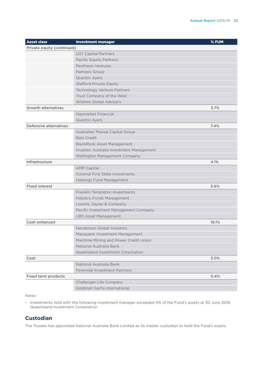| <b>Asset class</b>            | <b>Investment manager</b>                | $%$ FUM |
|-------------------------------|------------------------------------------|---------|
| Private equity (continued)    |                                          |         |
|                               | <b>LGT Capital Partners</b>              |         |
|                               | <b>Pacific Equity Partners</b>           |         |
|                               | Pantheon Ventures                        |         |
|                               | Partners Group                           |         |
|                               | <b>Quentin Ayers</b>                     |         |
|                               | <b>Stafford Private Equity</b>           |         |
|                               | <b>Technology Venture Partners</b>       |         |
|                               | Trust Company of the West                |         |
|                               | <b>Wilshire Global Advisers</b>          |         |
| <b>Growth alternatives</b>    |                                          | 3.7%    |
|                               | Haymarket Financial                      |         |
|                               | <b>Quentin Ayers</b>                     |         |
| <b>Defensive alternatives</b> |                                          | 7.4%    |
|                               | Australian Mutual Capital Group          |         |
|                               | <b>Bain Credit</b>                       |         |
|                               | <b>BlackRock Asset Management</b>        |         |
|                               | Investec Australia Investment Management |         |
|                               | Wellington Management Company            |         |
| Infrastructure                |                                          | 4.1%    |
|                               | <b>AMP Capital</b>                       |         |
|                               | <b>Colonial First State Investments</b>  |         |
|                               | Hastings Fund Management                 |         |
| <b>Fixed interest</b>         |                                          | 5.6%    |
|                               | Franklin Templeton Investments           |         |
|                               | <b>Industry Funds Management</b>         |         |
|                               | Loomis, Sayles & Company                 |         |
|                               | Pacific Investment Management Company    |         |
|                               | <b>UBS Asset Management</b>              |         |
| Cash enhanced                 |                                          | 16.1%   |
|                               | <b>Henderson Global Investors</b>        |         |
|                               | Macquarie Investment Management          |         |
|                               | Maritime Mining and Power Credit Union   |         |
|                               | National Australia Bank                  |         |
|                               | Queensland Investment Corporation        |         |
| Cash                          |                                          | 3.0%    |
|                               | National Australia Bank                  |         |
|                               | <b>Perennial Investment Partners</b>     |         |
| <b>Fixed term products</b>    |                                          | 0.4%    |
|                               | Challenger Life Company                  |         |
|                               | Goldman Sachs International              |         |

Notes:

• Investments held with the following investment manager exceeded 5% of the Fund's assets at 30 June 2016: Queensland Investment Corporation

# **Custodian**

The Trustee has appointed National Australia Bank Limited as its master custodian to hold the Fund's assets.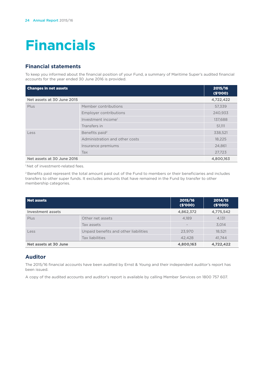# **Financials**

# **Financial statements**

To keep you informed about the financial position of your Fund, a summary of Maritime Super's audited financial accounts for the year ended 30 June 2016 is provided.

| <b>Changes in net assets</b> |                                | 2015/16<br>(\$'000) |
|------------------------------|--------------------------------|---------------------|
| Net assets at 30 June 2015   |                                | 4,722,422           |
| Plus                         | Member contributions           | 57,339              |
|                              | Employer contributions         | 240,933             |
|                              | Investment income <sup>1</sup> | 137,688             |
|                              | Transfers in                   | 51,111              |
| Less                         | Benefits paid <sup>2</sup>     | 338,521             |
|                              | Administration and other costs | 18,225              |
|                              | Insurance premiums             | 24,861              |
|                              | Tax                            | 27,723              |
| Net assets at 30 June 2016   |                                | 4,800,163           |

<sup>1</sup> Net of investment-related fees.

2 Benefits paid represent the total amount paid out of the Fund to members or their beneficiaries and includes transfers to other super funds. It excludes amounts that have remained in the Fund by transfer to other membership categories.

| Net assets            |                                       | 2015/16<br>(\$'000) | 2014/15<br>(S'000) |
|-----------------------|---------------------------------------|---------------------|--------------------|
| Investment assets     |                                       | 4,862,372           | 4,775,542          |
| Plus                  | Other net assets                      | 4.189               | 4,131              |
|                       | Tax assets                            |                     | 3,014              |
| Less                  | Unpaid benefits and other liabilities | 23.970              | 18,521             |
|                       | Tax liabilities                       | 42.428              | 41.744             |
| Net assets at 30 June |                                       | 4,800,163           | 4,722,422          |

# **Auditor**

The 2015/16 financial accounts have been audited by Ernst & Young and their independent auditor's report has been issued.

A copy of the audited accounts and auditor's report is available by calling Member Services on 1800 757 607.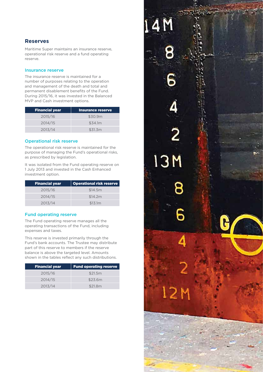# **Reserves**

Maritime Super maintains an insurance reserve, operational risk reserve and a fund operating reserve.

#### Insurance reserve

The insurance reserve is maintained for a number of purposes relating to the operation and management of the death and total and permanent disablement benefits of the Fund. During 2015/16, it was invested in the Balanced MVP and Cash investment options.

| <b>Financial year</b> | Insurance reserve |
|-----------------------|-------------------|
| 2015/16               | \$30.9m           |
| 2014/15               | \$34.1m           |
| 2013/14               | \$31.3m           |

#### Operational risk reserve

The operational risk reserve is maintained for the purpose of managing the Fund's operational risks, as prescribed by legislation.

It was isolated from the Fund operating reserve on 1 July 2013 and invested in the Cash Enhanced investment option.

| <b>Financial year</b> | <b>Operational risk reserve</b> |
|-----------------------|---------------------------------|
| 2015/16               | \$14.5m                         |
| 2014/15               | \$14.2m                         |
| 2013/14               | \$13.1m                         |

#### Fund operating reserve

The Fund operating reserve manages all the operating transactions of the Fund, including expenses and taxes.

This reserve is invested primarily through the Fund's bank accounts. The Trustee may distribute part of this reserve to members if the reserve balance is above the targeted level. Amounts shown in the tables reflect any such distributions.

| <b>Financial year</b> | <b>Fund operating reserve</b> |
|-----------------------|-------------------------------|
| 2015/16               | \$21.5m                       |
| 2014/15               | \$23.6m                       |
| 2013/14               | \$21.8m                       |

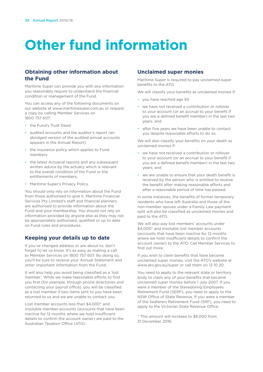# **Other fund information**

# **Obtaining other information about the Fund**

Maritime Super can provide you with any information you reasonably require to understand the financial condition or management of the Fund.

You can access any of the following documents on our website at www.maritimesuper.com.au or request a copy by calling Member Services on 1800 757 607:

- the Fund's Trust Deed
- audited accounts and the auditor's report (an abridged version of the audited annual accounts appears in the Annual Report)
- the insurance policy which applies to Fund members
- the latest Actuarial reports and any subsequent written advice by the actuary which is relevant to the overall condition of the Fund or the entitlements of members;
- Maritime Super's Privacy Policy.

You should only rely on information about the Fund from those authorised to give it. Maritime Financial Services Pty Limited's staff and financial planners are authorised to provide information about the Fund and your membership. You should not rely on information provided by anyone else as they may not be appropriately authorised, qualified or up to date on Fund rules and procedures.

# **Keeping your details up to date**

If you've changed address or are about to, don't forget to let us know. It's as easy as making a call to Member Services on 1800 757 607. By doing so, you'll be sure to receive your Annual Statement and other important information from the Fund.

It will also help you avoid being classified as a 'lost member'. While we make reasonable efforts to find you first (for example, through phone directories and contacting your payroll office), you will be classified as a lost member if two items sent to you have been returned to us and we are unable to contact you.

Lost member accounts less than \$4,000\* and insoluble member accounts (accounts that have been inactive for 12 months where we hold insufficient details to confirm the account owner) are paid to the Australian Taxation Office (ATO).

# **Unclaimed super monies**

Maritime Super is required to pay unclaimed super benefits to the ATO.

We will classify your benefits as unclaimed monies if:

- you have reached age 65
- we have not received a contribution or rollover to your account (or an accrual to your benefit if you are a defined benefit member) in the last two years; and
- after five years we have been unable to contact you despite reasonable efforts to do so.

We will also classify your benefits on your death as unclaimed monies if:

- we have not received a contribution or rollover to your account (or an accrual to your benefit if you are a defined benefit member) in the last two years; and
- we are unable to ensure that your death benefit is received by the person who is entitled to receive the benefit after making reasonable efforts and after a reasonable period of time has passed.

In some instances, the benefits of former temporary residents who have left Australia and those of the non-member spouse under a Family Law payment split will also be classified as unclaimed monies and paid to the ATO.

We will also pay lost members' accounts under \$4,000<sup>\*</sup> and insoluble lost member accounts (accounts that have been inactive for 12 months where we hold insufficient details to confirm the account owner) to the ATO. Call Member Services to find out more.

If you wish to claim benefits that have become unclaimed super monies, visit the ATO's website at www.ato.gov.au/super or call them on 13 10 20.

You need to apply to the relevant state or territory body to claim any of your benefits that became unclaimed super monies before 1 July 2007. If you were a member of the Stevedoring Employees Retirement Fund (SERF), you need to apply to the NSW Office of State Revenue. If you were a member of the Seafarers Retirement Fund (SRF), you need to apply to the Victorian State Revenue Office.

\* This amount will increase to \$6,000 from 31 December 2016.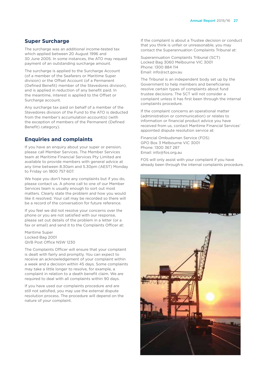#### **Super Surcharge**

The surcharge was an additional income-tested tax which applied between 20 August 1996 and 30 June 2005. In some instances, the ATO may request payment of an outstanding surcharge amount.

The surcharge is applied to the Surcharge Account (of a member of the Seafarers or Maritime Super division) or the Offset Account (of a Permanent (Defined Benefit) member of the Stevedores division), and is applied in reduction of any benefit paid. In the meantime, interest is applied to the Offset or Surcharge account.

Any surcharge tax paid on behalf of a member of the Stevedores division of the Fund to the ATO is deducted from the member's accumulation account(s) (with the exception of members of the Permanent (Defined Benefit) category).

### **Enquiries and complaints**

If you have an enquiry about your super or pension, please call Member Services. The Member Services team at Maritime Financial Services Pty Limited are available to provide members with general advice at any time between 8.30am and 5.30pm (AEST) Monday to Friday on 1800 757 607.

We hope you don't have any complaints but if you do, please contact us. A phone call to one of our Member Services team is usually enough to sort out most matters. Clearly state the problem and how you would like it resolved. Your call may be recorded so there will be a record of the conversation for future reference.

If you feel we did not resolve your concerns over the phone or you are not satisfied with our response, please set out details of the problem in a letter (or a fax or email) and send it to the Complaints Officer at:

Maritime Super Locked Bag 2001 QVB Post Office NSW 1230

The Complaints Officer will ensure that your complaint is dealt with fairly and promptly. You can expect to receive an acknowledgement of your complaint within a week and a decision within 45 days. Some complaints may take a little longer to resolve, for example, a complaint in relation to a death benefit claim. We are required to deal with all complaints within 90 days.

If you have used our complaints procedure and are still not satisfied, you may use the external dispute resolution process. The procedure will depend on the nature of your complaint.

If the complaint is about a Trustee decision or conduct that you think is unfair or unreasonable, you may contact the Superannuation Complaints Tribunal at:

Superannuation Complaints Tribunal (SCT) Locked Bag 3060 Melbourne VIC 3001 Phone: 1300 884 114 Email: info@sct.gov.au

The Tribunal is an independent body set up by the Government to help members and beneficiaries resolve certain types of complaints about fund trustee decisions. The SCT will not consider a complaint unless it has first been through the internal complaints procedure.

If the complaint concerns an operational matter (administration or communication) or relates to information or financial product advice you have received from us, contact Maritime Financial Services' appointed dispute resolution service at:

Financial Ombudsman Service (FOS) GPO Box 3 Melbourne VIC 3001 Phone: 1300 367 287 Email: info@fos.org.au

FOS will only assist with your complaint if you have already been through the internal complaints procedure.